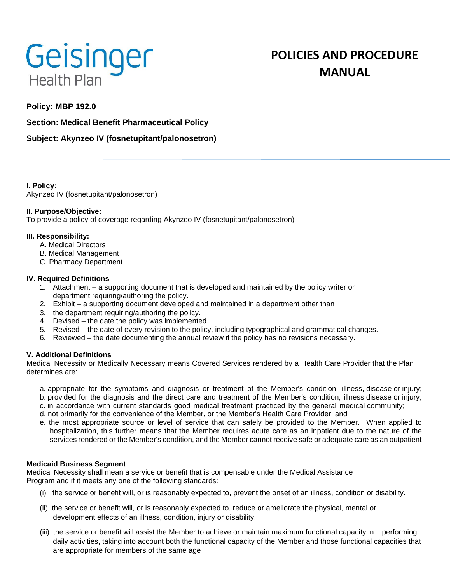

# **POLICIES AND PROCEDURE MANUAL**

# **Policy: MBP 192.0**

**Section: Medical Benefit Pharmaceutical Policy**

## **Subject: Akynzeo IV (fosnetupitant/palonosetron)**

**I. Policy:** Akynzeo IV (fosnetupitant/palonosetron)

## **II. Purpose/Objective:**

To provide a policy of coverage regarding Akynzeo IV (fosnetupitant/palonosetron)

## **III. Responsibility:**

- A. Medical Directors
- B. Medical Management
- C. Pharmacy Department

#### **IV. Required Definitions**

- 1. Attachment a supporting document that is developed and maintained by the policy writer or department requiring/authoring the policy.
- 2. Exhibit a supporting document developed and maintained in a department other than
- 3. the department requiring/authoring the policy.
- 4. Devised the date the policy was implemented.
- 5. Revised the date of every revision to the policy, including typographical and grammatical changes.
- 6. Reviewed the date documenting the annual review if the policy has no revisions necessary.

## **V. Additional Definitions**

Medical Necessity or Medically Necessary means Covered Services rendered by a Health Care Provider that the Plan determines are:

- a. appropriate for the symptoms and diagnosis or treatment of the Member's condition, illness, disease or injury;
- b. provided for the diagnosis and the direct care and treatment of the Member's condition, illness disease or injury;
- c. in accordance with current standards good medical treatment practiced by the general medical community;
- d. not primarily for the convenience of the Member, or the Member's Health Care Provider; and
- e. the most appropriate source or level of service that can safely be provided to the Member. When applied to hospitalization, this further means that the Member requires acute care as an inpatient due to the nature of the services rendered or the Member's condition, and the Member cannot receive safe or adequate care as an outpatient

## **Medicaid Business Segment**

Medical Necessity shall mean a service or benefit that is compensable under the Medical Assistance Program and if it meets any one of the following standards:

- (i) the service or benefit will, or is reasonably expected to, prevent the onset of an illness, condition or disability.
- (ii) the service or benefit will, or is reasonably expected to, reduce or ameliorate the physical, mental or development effects of an illness, condition, injury or disability.
- (iii) the service or benefit will assist the Member to achieve or maintain maximum functional capacity in performing daily activities, taking into account both the functional capacity of the Member and those functional capacities that are appropriate for members of the same age